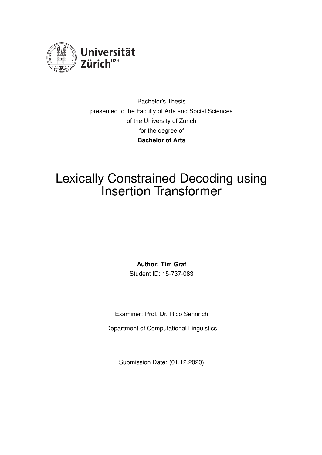

Bachelor's Thesis presented to the Faculty of Arts and Social Sciences of the University of Zurich for the degree of **Bachelor of Arts**

# Lexically Constrained Decoding using Insertion Transformer

**Author: Tim Graf**

Student ID: 15-737-083

Examiner: Prof. Dr. Rico Sennrich

Department of Computational Linguistics

Submission Date: (01.12.2020)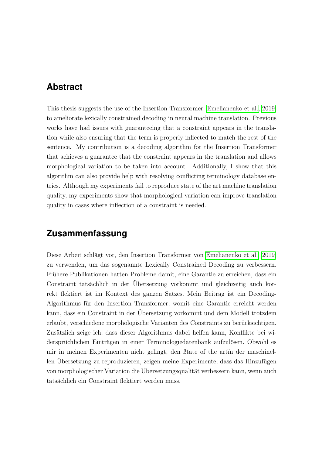#### <span id="page-1-0"></span>**Abstract**

This thesis suggests the use of the Insertion Transformer [\[Emelianenko et al., 2019\]](#page-31-0) to ameliorate lexically constrained decoding in neural machine translation. Previous works have had issues with guaranteeing that a constraint appears in the translation while also ensuring that the term is properly inflected to match the rest of the sentence. My contribution is a decoding algorithm for the Insertion Transformer that achieves a guarantee that the constraint appears in the translation and allows morphological variation to be taken into account. Additionally, I show that this algorithm can also provide help with resolving conflicting terminology database entries. Although my experiments fail to reproduce state of the art machine translation quality, my experiments show that morphological variation can improve translation quality in cases where inflection of a constraint is needed.

### **Zusammenfassung**

Diese Arbeit schlägt vor, den Insertion Transformer von [Emelianenko et al.](#page-31-0) [\[2019\]](#page-31-0) zu verwenden, um das sogenannte Lexically Constrained Decoding zu verbessern. Fruhere Publikationen hatten Probleme damit, eine Garantie zu erreichen, dass ein ¨ Constraint tatsächlich in der Übersetzung vorkommt und gleichzeitig auch korrekt flektiert ist im Kontext des ganzen Satzes. Mein Beitrag ist ein Decoding-Algorithmus für den Insertion Transformer, womit eine Garantie erreicht werden kann, dass ein Constraint in der Übersetzung vorkommt und dem Modell trotzdem erlaubt, verschiedene morphologische Varianten des Constraints zu berucksichtigen. ¨ Zusätzlich zeige ich, dass dieser Algorithmus dabei helfen kann, Konflikte bei widersprüchlichen Einträgen in einer Terminologiedatenbank aufzulösen. Obwohl es mir in meinen Experimenten nicht gelingt, den ßtate of the artïn der maschinellen Ubersetzung zu reproduzieren, zeigen meine Experimente, dass das Hinzufügen von morphologischer Variation die Übersetzungsqualität verbessern kann, wenn auch tatsächlich ein Constraint flektiert werden muss.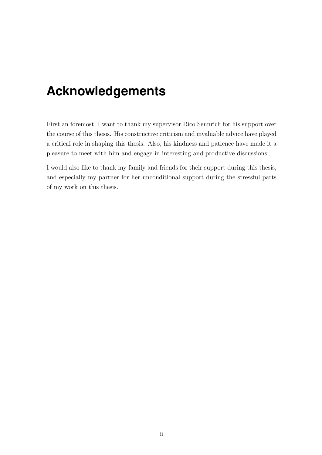# <span id="page-2-0"></span>**Acknowledgements**

First an foremost, I want to thank my supervisor Rico Sennrich for his support over the course of this thesis. His constructive criticism and invaluable advice have played a critical role in shaping this thesis. Also, his kindness and patience have made it a pleasure to meet with him and engage in interesting and productive discussions.

I would also like to thank my family and friends for their support during this thesis, and especially my partner for her unconditional support during the stressful parts of my work on this thesis.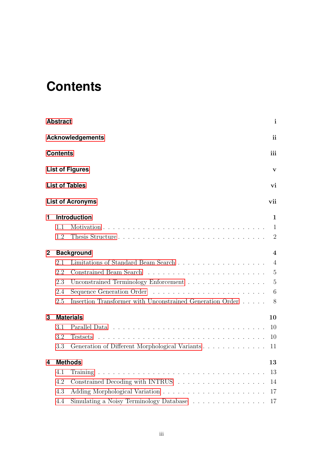# <span id="page-3-0"></span>**Contents**

|              | <b>Abstract</b> |                                                           | $\mathbf{i}$   |
|--------------|-----------------|-----------------------------------------------------------|----------------|
|              |                 | <b>Acknowledgements</b>                                   | ii             |
|              | <b>Contents</b> |                                                           | iii            |
|              |                 | <b>List of Figures</b>                                    | $\mathbf{V}$   |
|              |                 | <b>List of Tables</b>                                     | vi             |
|              |                 | <b>List of Acronyms</b>                                   | vii            |
| 1            |                 | Introduction                                              | 1              |
|              | 1.1             |                                                           | 1              |
|              | 1.2             |                                                           | $\overline{2}$ |
| $\mathbf{2}$ |                 | <b>Background</b>                                         | 4              |
|              | 2.1             |                                                           | $\overline{4}$ |
|              | 2.2             |                                                           |                |
|              | 2.3             | Unconstrained Terminology Enforcement                     | $\overline{5}$ |
|              | 2.4             |                                                           | 6              |
|              | 2.5             | Insertion Transformer with Unconstrained Generation Order | 8              |
| 3            |                 | <b>Materials</b>                                          | 10             |
|              | 3.1             |                                                           | 10             |
|              | 3.2             | <b>Testsets</b>                                           | 10             |
|              | 3.3             | Generation of Different Morphological Variants            | 11             |
| 4            |                 | <b>Methods</b>                                            | 13             |
|              | 4.1             |                                                           | 13             |
|              | 4.2             |                                                           | 14             |
|              | 4.3             |                                                           | 17             |
|              | 4.4             | Simulating a Noisy Terminology Database                   | 17             |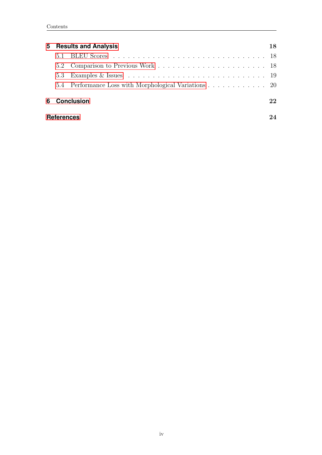|                   | 5 Results and Analysis                                | 18 |
|-------------------|-------------------------------------------------------|----|
|                   |                                                       |    |
|                   |                                                       |    |
|                   |                                                       |    |
|                   | 5.4 Performance Loss with Morphological Variations 20 |    |
|                   | 6 Conclusion                                          | 22 |
| <b>References</b> |                                                       |    |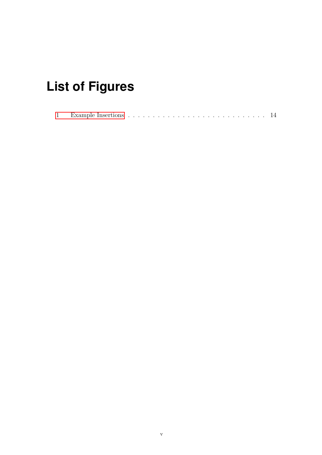# <span id="page-5-0"></span>**List of Figures**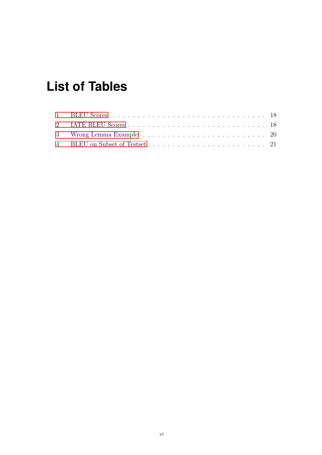# <span id="page-6-0"></span>**List of Tables**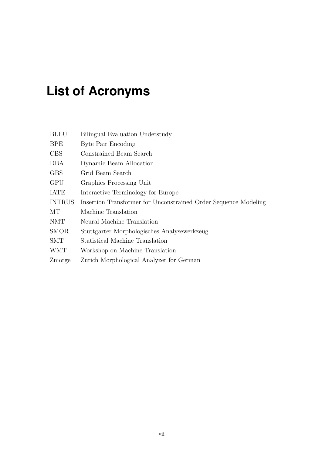# <span id="page-7-0"></span>**List of Acronyms**

| <b>BLEU</b>   | Bilingual Evaluation Understudy                                 |
|---------------|-----------------------------------------------------------------|
| <b>BPE</b>    | Byte Pair Encoding                                              |
| <b>CBS</b>    | Constrained Beam Search                                         |
| DBA           | Dynamic Beam Allocation                                         |
| <b>GBS</b>    | Grid Beam Search                                                |
| <b>GPU</b>    | Graphics Processing Unit                                        |
| <b>IATE</b>   | Interactive Terminology for Europe                              |
| <b>INTRUS</b> | Insertion Transformer for Unconstrained Order Sequence Modeling |
| MТ            | Machine Translation                                             |
| <b>NMT</b>    | Neural Machine Translation                                      |
| <b>SMOR</b>   | Stuttgarter Morphologisches Analysewerkzeug                     |
| <b>SMT</b>    | Statistical Machine Translation                                 |
| <b>WMT</b>    | Workshop on Machine Translation                                 |
| Zmorge        | Zurich Morphological Analyzer for German                        |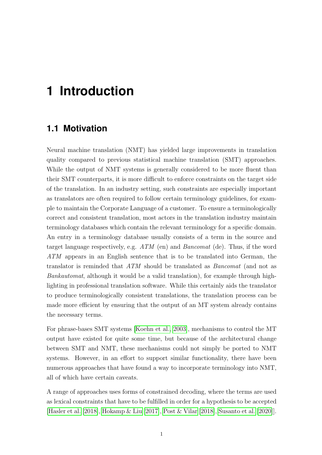## <span id="page-8-0"></span>**1 Introduction**

#### <span id="page-8-1"></span>**1.1 Motivation**

Neural machine translation (NMT) has yielded large improvements in translation quality compared to previous statistical machine translation (SMT) approaches. While the output of NMT systems is generally considered to be more fluent than their SMT counterparts, it is more difficult to enforce constraints on the target side of the translation. In an industry setting, such constraints are especially important as translators are often required to follow certain terminology guidelines, for example to maintain the Corporate Language of a customer. To ensure a terminologically correct and consistent translation, most actors in the translation industry maintain terminology databases which contain the relevant terminology for a specific domain. An entry in a terminology database usually consists of a term in the source and target language respectively, e.g. ATM (en) and Bancomat (de). Thus, if the word ATM appears in an English sentence that is to be translated into German, the translator is reminded that ATM should be translated as Bancomat (and not as Bankautomat, although it would be a valid translation), for example through highlighting in professional translation software. While this certainly aids the translator to produce terminologically consistent translations, the translation process can be made more efficient by ensuring that the output of an MT system already contains the necessary terms.

For phrase-bases SMT systems [\[Koehn et al., 2003\]](#page-32-0), mechanisms to control the MT output have existed for quite some time, but because of the architectural change between SMT and NMT, these mechanisms could not simply be ported to NMT systems. However, in an effort to support similar functionality, there have been numerous approaches that have found a way to incorporate terminology into NMT, all of which have certain caveats.

A range of approaches uses forms of constrained decoding, where the terms are used as lexical constraints that have to be fulfilled in order for a hypothesis to be accepted [\[Hasler et al.](#page-31-2) [\[2018\]](#page-31-2), [Hokamp & Liu](#page-31-3) [\[2017\]](#page-31-3), [Post & Vilar](#page-32-1) [\[2018\]](#page-32-1), [Susanto et al.](#page-33-0) [\[2020\]](#page-33-0)].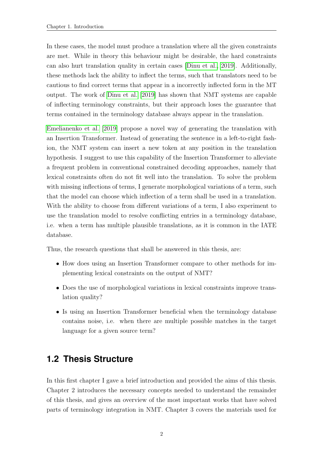In these cases, the model must produce a translation where all the given constraints are met. While in theory this behaviour might be desirable, the hard constraints can also hurt translation quality in certain cases [\[Dinu et al., 2019\]](#page-31-4). Additionally, these methods lack the ability to inflect the terms, such that translators need to be cautious to find correct terms that appear in a incorrectly inflected form in the MT output. The work of [Dinu et al.](#page-31-4) [\[2019\]](#page-31-4) has shown that NMT systems are capable of inflecting terminology constraints, but their approach loses the guarantee that terms contained in the terminology database always appear in the translation.

[Emelianenko et al.](#page-31-0) [\[2019\]](#page-31-0) propose a novel way of generating the translation with an Insertion Transformer. Instead of generating the sentence in a left-to-right fashion, the NMT system can insert a new token at any position in the translation hypothesis. I suggest to use this capability of the Insertion Transformer to alleviate a frequent problem in conventional constrained decoding approaches, namely that lexical constraints often do not fit well into the translation. To solve the problem with missing inflections of terms, I generate morphological variations of a term, such that the model can choose which inflection of a term shall be used in a translation. With the ability to choose from different variations of a term, I also experiment to use the translation model to resolve conflicting entries in a terminology database, i.e. when a term has multiple plausible translations, as it is common in the IATE database.

Thus, the research questions that shall be answered in this thesis, are:

- How does using an Insertion Transformer compare to other methods for implementing lexical constraints on the output of NMT?
- Does the use of morphological variations in lexical constraints improve translation quality?
- Is using an Insertion Transformer beneficial when the terminology database contains noise, i.e. when there are multiple possible matches in the target language for a given source term?

### <span id="page-9-0"></span>**1.2 Thesis Structure**

In this first chapter I gave a brief introduction and provided the aims of this thesis. Chapter 2 introduces the necessary concepts needed to understand the remainder of this thesis, and gives an overview of the most important works that have solved parts of terminology integration in NMT. Chapter 3 covers the materials used for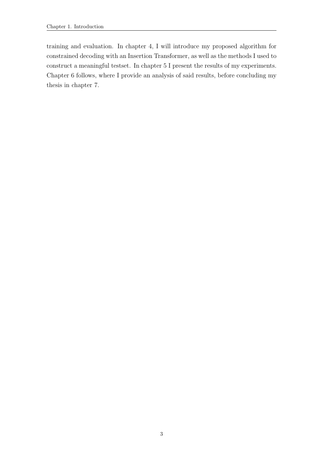training and evaluation. In chapter 4, I will introduce my proposed algorithm for constrained decoding with an Insertion Transformer, as well as the methods I used to construct a meaningful testset. In chapter 5 I present the results of my experiments. Chapter 6 follows, where I provide an analysis of said results, before concluding my thesis in chapter 7.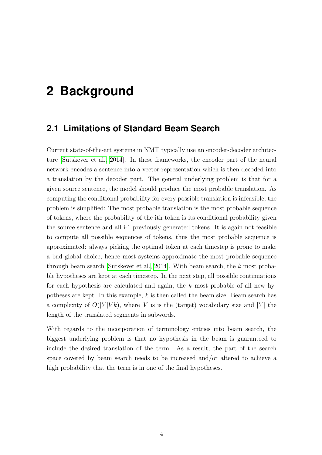# <span id="page-11-0"></span>**2 Background**

#### <span id="page-11-1"></span>**2.1 Limitations of Standard Beam Search**

Current state-of-the-art systems in NMT typically use an encoder-decoder architecture [\[Sutskever et al., 2014\]](#page-33-1). In these frameworks, the encoder part of the neural network encodes a sentence into a vector-representation which is then decoded into a translation by the decoder part. The general underlying problem is that for a given source sentence, the model should produce the most probable translation. As computing the conditional probability for every possible translation is infeasible, the problem is simplified: The most probable translation is the most probable sequence of tokens, where the probability of the ith token is its conditional probability given the source sentence and all i-1 previously generated tokens. It is again not feasible to compute all possible sequences of tokens, thus the most probable sequence is approximated: always picking the optimal token at each timestep is prone to make a bad global choice, hence most systems approximate the most probable sequence through beam search [\[Sutskever et al., 2014\]](#page-33-1). With beam search, the k most probable hypotheses are kept at each timestep. In the next step, all possible continuations for each hypothesis are calculated and again, the k most probable of all new hypotheses are kept. In this example, k is then called the beam size. Beam search has a complexity of  $O(|Y|Vk)$ , where V is is the (target) vocabulary size and |Y| the length of the translated segments in subwords.

With regards to the incorporation of terminology entries into beam search, the biggest underlying problem is that no hypothesis in the beam is guaranteed to include the desired translation of the term. As a result, the part of the search space covered by beam search needs to be increased and/or altered to achieve a high probability that the term is in one of the final hypotheses.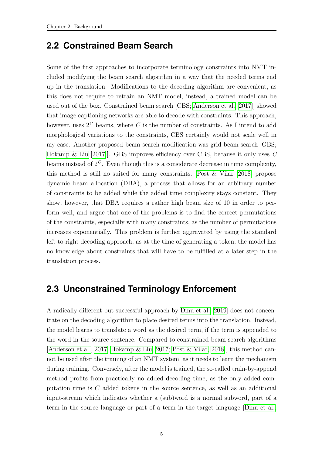#### <span id="page-12-0"></span>**2.2 Constrained Beam Search**

Some of the first approaches to incorporate terminology constraints into NMT included modifying the beam search algorithm in a way that the needed terms end up in the translation. Modifications to the decoding algorithm are convenient, as this does not require to retrain an NMT model, instead, a trained model can be used out of the box. Constrained beam search [CBS; [Anderson et al.](#page-31-5) [\[2017\]](#page-31-5)] showed that image captioning networks are able to decode with constraints. This approach, however, uses  $2^C$  beams, where C is the number of constraints. As I intend to add morphological variations to the constraints, CBS certainly would not scale well in my case. Another proposed beam search modification was grid beam search [GBS; [Hokamp & Liu](#page-31-3) [\[2017\]](#page-31-3)]. GBS improves efficiency over CBS, because it only uses C beams instead of  $2^C$ . Even though this is a considerate decrease in time complexity, this method is still no suited for many constraints. [Post & Vilar](#page-32-1) [\[2018\]](#page-32-1) propose dynamic beam allocation (DBA), a process that allows for an arbitrary number of constraints to be added while the added time complexity stays constant. They show, however, that DBA requires a rather high beam size of 10 in order to perform well, and argue that one of the problems is to find the correct permutations of the constraints, especially with many constraints, as the number of permutations increases exponentially. This problem is further aggravated by using the standard left-to-right decoding approach, as at the time of generating a token, the model has no knowledge about constraints that will have to be fulfilled at a later step in the translation process.

#### <span id="page-12-1"></span>**2.3 Unconstrained Terminology Enforcement**

A radically different but successful approach by [Dinu et al.](#page-31-4) [\[2019\]](#page-31-4) does not concentrate on the decoding algorithm to place desired terms into the translation. Instead, the model learns to translate a word as the desired term, if the term is appended to the word in the source sentence. Compared to constrained beam search algorithms [\[Anderson et al., 2017;](#page-31-5) [Hokamp & Liu, 2017;](#page-31-3) [Post & Vilar, 2018\]](#page-32-1), this method cannot be used after the training of an NMT system, as it needs to learn the mechanism during training. Conversely, after the model is trained, the so-called train-by-append method profits from practically no added decoding time, as the only added computation time is C added tokens in the source sentence, as well as an additional input-stream which indicates whether a (sub)word is a normal subword, part of a term in the source language or part of a term in the target language [\[Dinu et al.,](#page-31-4)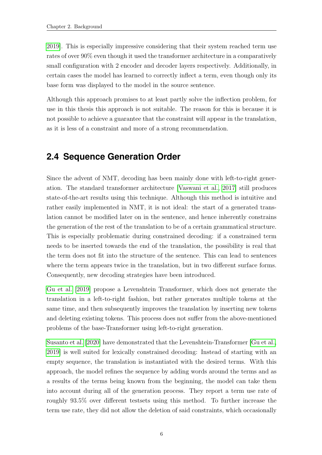[2019\]](#page-31-4). This is especially impressive considering that their system reached term use rates of over 90% even though it used the transformer architecture in a comparatively small configuration with 2 encoder and decoder layers respectively. Additionally, in certain cases the model has learned to correctly inflect a term, even though only its base form was displayed to the model in the source sentence.

Although this approach promises to at least partly solve the inflection problem, for use in this thesis this approach is not suitable. The reason for this is because it is not possible to achieve a guarantee that the constraint will appear in the translation, as it is less of a constraint and more of a strong recommendation.

### <span id="page-13-0"></span>**2.4 Sequence Generation Order**

Since the advent of NMT, decoding has been mainly done with left-to-right generation. The standard transformer architecture [\[Vaswani et al., 2017\]](#page-33-2) still produces state-of-the-art results using this technique. Although this method is intuitive and rather easily implemented in NMT, it is not ideal: the start of a generated translation cannot be modified later on in the sentence, and hence inherently constrains the generation of the rest of the translation to be of a certain grammatical structure. This is especially problematic during constrained decoding: if a constrained term needs to be inserted towards the end of the translation, the possibility is real that the term does not fit into the structure of the sentence. This can lead to sentences where the term appears twice in the translation, but in two different surface forms. Consequently, new decoding strategies have been introduced.

[Gu et al.](#page-31-6) [\[2019\]](#page-31-6) propose a Levenshtein Transformer, which does not generate the translation in a left-to-right fashion, but rather generates multiple tokens at the same time, and then subsequently improves the translation by inserting new tokens and deleting existing tokens. This process does not suffer from the above-mentioned problems of the base-Transformer using left-to-right generation.

[Susanto et al.](#page-33-0) [\[2020\]](#page-33-0) have demonstrated that the Levenshtein-Transformer [\[Gu et al.,](#page-31-6) [2019\]](#page-31-6) is well suited for lexically constrained decoding: Instead of starting with an empty sequence, the translation is instantiated with the desired terms. With this approach, the model refines the sequence by adding words around the terms and as a results of the terms being known from the beginning, the model can take them into account during all of the generation process. They report a term use rate of roughly 93.5% over different testsets using this method. To further increase the term use rate, they did not allow the deletion of said constraints, which occasionally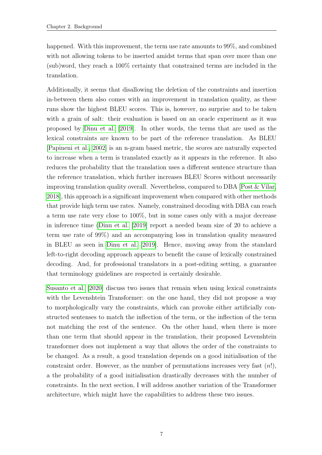happened. With this improvement, the term use rate amounts to 99\%, and combined with not allowing tokens to be inserted amidst terms that span over more than one (sub)word, they reach a 100% certainty that constrained terms are included in the translation.

Additionally, it seems that disallowing the deletion of the constraints and insertion in-between them also comes with an improvement in translation quality, as these runs show the highest BLEU scores. This is, however, no surprise and to be taken with a grain of salt: their evaluation is based on an oracle experiment as it was proposed by [Dinu et al.](#page-31-4) [\[2019\]](#page-31-4). In other words, the terms that are used as the lexical constraints are known to be part of the reference translation. As BLEU [\[Papineni et al., 2002\]](#page-32-2) is an n-gram based metric, the scores are naturally expected to increase when a term is translated exactly as it appears in the reference. It also reduces the probability that the translation uses a different sentence structure than the reference translation, which further increases BLEU Scores without necessarily improving translation quality overall. Nevertheless, compared to DBA [\[Post & Vilar,](#page-32-1) [2018\]](#page-32-1), this approach is a significant improvement when compared with other methods that provide high term use rates. Namely, constrained decoding with DBA can reach a term use rate very close to 100%, but in some cases only with a major decrease in inference time [\(Dinu et al.](#page-31-4) [\[2019\]](#page-31-4) report a needed beam size of 20 to achieve a term use rate of 99%) and an accompanying loss in translation quality measured in BLEU as seen in [Dinu et al.](#page-31-4) [\[2019\]](#page-31-4). Hence, moving away from the standard left-to-right decoding approach appears to benefit the cause of lexically constrained decoding. And, for professional translators in a post-editing setting, a guarantee that terminology guidelines are respected is certainly desirable.

[Susanto et al.](#page-33-0) [\[2020\]](#page-33-0) discuss two issues that remain when using lexical constraints with the Levenshtein Transformer: on the one hand, they did not propose a way to morphologically vary the constraints, which can provoke either artificially constructed sentenses to match the inflection of the term, or the inflection of the term not matching the rest of the sentence. On the other hand, when there is more than one term that should appear in the translation, their proposed Levenshtein transformer does not implement a way that allows the order of the constraints to be changed. As a result, a good translation depends on a good initialisation of the constraint order. However, as the number of permutations increases very fast  $(n!)$ , a the probability of a good initialisation drastically decreases with the number of constraints. In the next section, I will address another variation of the Transformer architecture, which might have the capabilities to address these two issues.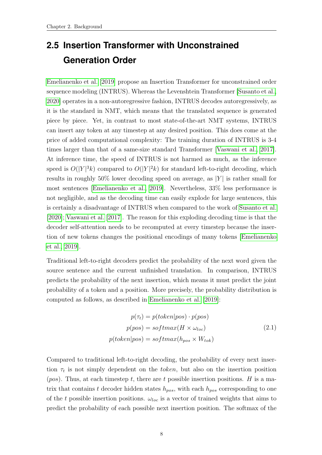### <span id="page-15-0"></span>**2.5 Insertion Transformer with Unconstrained Generation Order**

[Emelianenko et al.](#page-31-0) [\[2019\]](#page-31-0) propose an Insertion Transformer for unconstrained order sequence modeling (INTRUS). Whereas the Levenshtein Transformer [\[Susanto et al.,](#page-33-0) [2020\]](#page-33-0) operates in a non-autoregressive fashion, INTRUS decodes autoregressively, as it is the standard in NMT, which means that the translated sequence is generated piece by piece. Yet, in contrast to most state-of-the-art NMT systems, INTRUS can insert any token at any timestep at any desired position. This does come at the price of added computational complexity: The training duration of INTRUS is 3-4 times larger than that of a same-size standard Transformer [\[Vaswani et al., 2017\]](#page-33-2). At inference time, the speed of INTRUS is not harmed as much, as the inference speed is  $O(|Y|^3k)$  compared to  $O(|Y|^2k)$  for standard left-to-right decoding, which results in roughly 50% lower decoding speed on average, as  $|Y|$  is rather small for most sentences [\[Emelianenko et al., 2019\]](#page-31-0). Nevertheless, 33% less performance is not negligible, and as the decoding time can easily explode for large sentences, this is certainly a disadvantage of INTRUS when compared to the work of [Susanto et al.](#page-33-0) [\[2020\]](#page-33-0); [Vaswani et al.](#page-33-2) [\[2017\]](#page-33-2). The reason for this exploding decoding time is that the decoder self-attention needs to be recomputed at every timestep because the insertion of new tokens changes the positional encodings of many tokens [\[Emelianenko](#page-31-0) [et al., 2019\]](#page-31-0).

Traditional left-to-right decoders predict the probability of the next word given the source sentence and the current unfinished translation. In comparison, INTRUS predicts the probability of the next insertion, which means it must predict the joint probability of a token and a position. More precisely, the probability distribution is computed as follows, as described in [Emelianenko et al.](#page-31-0) [\[2019\]](#page-31-0):

$$
p(\tau_t) = p(token | pos) \cdot p(pos)
$$
  
\n
$$
p(pos) = softmax(H \times \omega_{loc})
$$
  
\n
$$
p(token | pos) = softmax(h_{pos} \times W_{tok})
$$
\n(2.1)

Compared to traditional left-to-right decoding, the probability of every next insertion  $\tau_t$  is not simply dependent on the token, but also on the insertion position (pos). Thus, at each timestep t, there are t possible insertion positions. H is a matrix that contains t decoder hidden states  $h_{pos}$ , with each  $h_{pos}$  corresponding to one of the t possible insertion positions.  $\omega_{loc}$  is a vector of trained weights that aims to predict the probability of each possible next insertion position. The softmax of the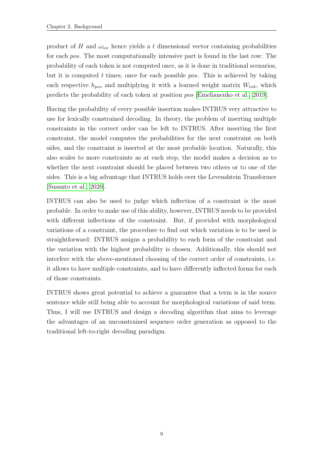product of H and  $\omega_{loc}$  hence yields a t dimensional vector containing probabilities for each pos. The most computationally intensive part is found in the last row: The probability of each token is not computed once, as it is done in traditional scenarios, but it is computed  $t$  times, once for each possible pos. This is achieved by taking each respective  $h_{pos}$  and multiplying it with a learned weight matrix  $W_{tok}$ , which predicts the probability of each token at position pos [\[Emelianenko et al., 2019\]](#page-31-0).

Having the probability of every possible insertion makes INTRUS very attractive to use for lexically constrained decoding. In theory, the problem of inserting multiple constraints in the correct order can be left to INTRUS. After inserting the first constraint, the model computes the probabilities for the next constraint on both sides, and the constraint is inserted at the most probable location. Naturally, this also scales to more constraints as at each step, the model makes a decision as to whether the next constraint should be placed between two others or to one of the sides. This is a big advantage that INTRUS holds over the Levenshtein Transformer [\[Susanto et al., 2020\]](#page-33-0).

INTRUS can also be used to judge which inflection of a constraint is the most probable. In order to make use of this ability, however, INTRUS needs to be provided with different inflections of the constraint. But, if provided with morphological variations of a constraint, the procedure to find out which variation is to be used is straightforward: INTRUS assigns a probability to each form of the constraint and the variation with the highest probability is chosen. Additionally, this should not interfere with the above-mentioned choosing of the correct order of constraints, i.e. it allows to have multiple constraints, and to have differently inflected forms for each of those constraints.

INTRUS shows great potential to achieve a guarantee that a term is in the source sentence while still being able to account for morphological variations of said term. Thus, I will use INTRUS and design a decoding algorithm that aims to leverage the advantages of an unconstrained sequence order generation as opposed to the traditional left-to-right decoding paradigm.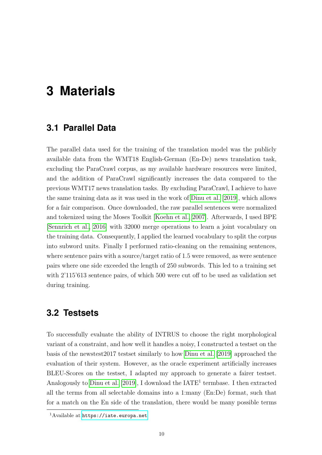## <span id="page-17-0"></span>**3 Materials**

#### <span id="page-17-1"></span>**3.1 Parallel Data**

The parallel data used for the training of the translation model was the publicly available data from the WMT18 English-German (En-De) news translation task, excluding the ParaCrawl corpus, as my available hardware resources were limited, and the addition of ParaCrawl significantly increases the data compared to the previous WMT17 news translation tasks. By excluding ParaCrawl, I achieve to have the same training data as it was used in the work of [Dinu et al.](#page-31-4) [\[2019\]](#page-31-4), which allows for a fair comparison. Once downloaded, the raw parallel sentences were normalized and tokenized using the Moses Toolkit [\[Koehn et al., 2007\]](#page-32-3). Afterwards, I used BPE [\[Sennrich et al., 2016\]](#page-32-4) with 32000 merge operations to learn a joint vocabulary on the training data. Consequently, I applied the learned vocabulary to split the corpus into subword units. Finally I performed ratio-cleaning on the remaining sentences, where sentence pairs with a source/target ratio of 1.5 were removed, as were sentence pairs where one side exceeded the length of 250 subwords. This led to a training set with 2'115'613 sentence pairs, of which 500 were cut off to be used as validation set during training.

#### <span id="page-17-2"></span>**3.2 Testsets**

To successfully evaluate the ability of INTRUS to choose the right morphological variant of a constraint, and how well it handles a noisy, I constructed a testset on the basis of the newstest2017 testset similarly to how [Dinu et al.](#page-31-4) [\[2019\]](#page-31-4) approached the evaluation of their system. However, as the oracle experiment artificially increases BLEU-Scores on the testset, I adapted my approach to generate a fairer testset. Analogously to [Dinu et al.](#page-31-4)  $[2019]$ , I download the  $IATE<sup>1</sup>$  termbase. I then extracted all the terms from all selectable domains into a 1:many (En:De) format, such that for a match on the En side of the translation, there would be many possible terms

<sup>1</sup>Available at <https://iate.europa.net>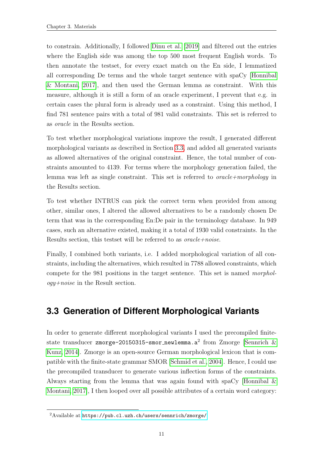to constrain. Additionally, I followed [Dinu et al.](#page-31-4) [\[2019\]](#page-31-4) and filtered out the entries where the English side was among the top 500 most frequent English words. To then annotate the testset, for every exact match on the En side, I lemmatized all corresponding De terms and the whole target sentence with spaCy [\[Honnibal](#page-32-5) [& Montani, 2017\]](#page-32-5), and then used the German lemma as constraint. With this measure, although it is still a form of an oracle experiment, I prevent that e.g. in certain cases the plural form is already used as a constraint. Using this method, I find 781 sentence pairs with a total of 981 valid constraints. This set is referred to as oracle in the Results section.

To test whether morphological variations improve the result, I generated different morphological variants as described in Section [3.3,](#page-18-0) and added all generated variants as allowed alternatives of the original constraint. Hence, the total number of constraints amounted to 4139. For terms where the morphology generation failed, the lemma was left as single constraint. This set is referred to *oracle+morphology* in the Results section.

To test whether INTRUS can pick the correct term when provided from among other, similar ones, I altered the allowed alternatives to be a randomly chosen De term that was in the corresponding En:De pair in the terminology database. In 949 cases, such an alternative existed, making it a total of 1930 valid constraints. In the Results section, this testset will be referred to as  $oracle+noise$ .

Finally, I combined both variants, i.e. I added morphological variation of all constraints, including the alternatives, which resulted in 7788 allowed constraints, which compete for the 981 positions in the target sentence. This set is named morphology+noise in the Result section.

### <span id="page-18-0"></span>**3.3 Generation of Different Morphological Variants**

In order to generate different morphological variants I used the precompiled finitestate transducer zmorge-20150315-smor\_newlemma.a $^2$  from Zmorge [Sennrich  $\&$ [Kunz, 2014\]](#page-33-3). Zmorge is an open-source German morphological lexicon that is compatible with the finite-state grammar SMOR [\[Schmid et al., 2004\]](#page-32-6). Hence, I could use the precompiled transducer to generate various inflection forms of the constraints. Always starting from the lemma that was again found with spaCy [Honnibal  $\&$ [Montani, 2017\]](#page-32-5), I then looped over all possible attributes of a certain word category:

<sup>2</sup>Available at <https://pub.cl.uzh.ch/users/sennrich/zmorge/>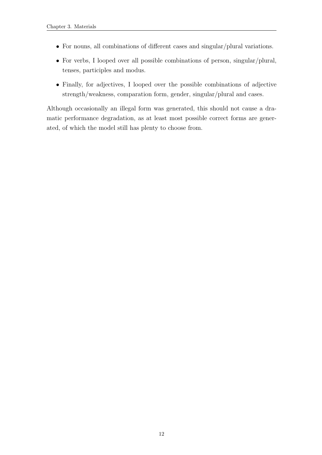- For nouns, all combinations of different cases and singular/plural variations.
- For verbs, I looped over all possible combinations of person, singular/plural, tenses, participles and modus.
- Finally, for adjectives, I looped over the possible combinations of adjective strength/weakness, comparation form, gender, singular/plural and cases.

Although occasionally an illegal form was generated, this should not cause a dramatic performance degradation, as at least most possible correct forms are generated, of which the model still has plenty to choose from.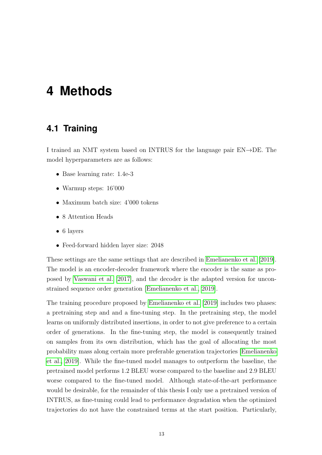### <span id="page-20-0"></span>**4 Methods**

#### <span id="page-20-1"></span>**4.1 Training**

I trained an NMT system based on INTRUS for the language pair EN→DE. The model hyperparameters are as follows:

- Base learning rate: 1.4e-3
- Warmup steps: 16'000
- Maximum batch size: 4'000 tokens
- 8 Attention Heads
- 6 layers
- Feed-forward hidden layer size: 2048

These settings are the same settings that are described in [Emelianenko et al.](#page-31-0) [\[2019\]](#page-31-0). The model is an encoder-decoder framework where the encoder is the same as proposed by [Vaswani et al.](#page-33-2) [\[2017\]](#page-33-2), and the decoder is the adapted version for unconstrained sequence order generation [\[Emelianenko et al., 2019\]](#page-31-0).

The training procedure proposed by [Emelianenko et al.](#page-31-0) [\[2019\]](#page-31-0) includes two phases: a pretraining step and and a fine-tuning step. In the pretraining step, the model learns on uniformly distributed insertions, in order to not give preference to a certain order of generations. In the fine-tuning step, the model is consequently trained on samples from its own distribution, which has the goal of allocating the most probability mass along certain more preferable generation trajectories [\[Emelianenko](#page-31-0) [et al., 2019\]](#page-31-0). While the fine-tuned model manages to outperform the baseline, the pretrained model performs 1.2 BLEU worse compared to the baseline and 2.9 BLEU worse compared to the fine-tuned model. Although state-of-the-art performance would be desirable, for the remainder of this thesis I only use a pretrained version of INTRUS, as fine-tuning could lead to performance degradation when the optimized trajectories do not have the constrained terms at the start position. Particularly,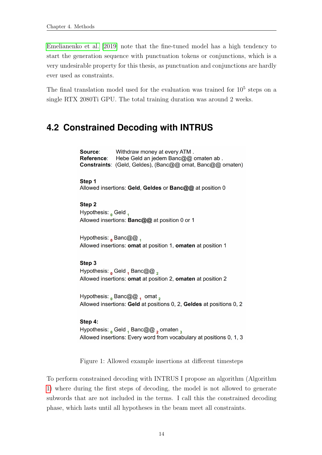[Emelianenko et al.](#page-31-0) [\[2019\]](#page-31-0) note that the fine-tuned model has a high tendency to start the generation sequence with punctuation tokens or conjunctions, which is a very undesirable property for this thesis, as punctuation and conjunctions are hardly ever used as constraints.

The final translation model used for the evaluation was trained for  $10<sup>5</sup>$  steps on a single RTX 2080Ti GPU. The total training duration was around 2 weeks.

### <span id="page-21-0"></span>**4.2 Constrained Decoding with INTRUS**

Source: Withdraw money at every ATM. Hebe Geld an jedem Banc@@ omaten ab. Reference: Constraints: (Geld, Geldes), (Banc@@ omat, Banc@@ omaten) Step 1 Allowed insertions: Geld, Geldes or Banc@@ at position 0 Step<sub>2</sub> Hypothesis: <sub>0</sub> Geld 1 Allowed insertions: **Banc@@** at position 0 or 1 Hypothesis:  $_0$  Banc@@  $_1$ Allowed insertions: omat at position 1, omaten at position 1 Step 3 Hypothesis:  $_0$  Geld  $_1$  Banc@@, Allowed insertions: omat at position 2, omaten at position 2 Hypothesis:  $_0$  Banc@@  $_1$  omat  $_2$ Allowed insertions: Geld at positions 0, 2, Geldes at positions 0, 2

#### Step 4:

Hypothesis: Geld, Banc@@, omaten, Allowed insertions: Every word from vocabulary at positions 0, 1, 3

<span id="page-21-1"></span>Figure 1: Allowed example insertions at different timesteps

To perform constrained decoding with INTRUS I propose an algorithm (Algorithm [1\)](#page-22-0) where during the first steps of decoding, the model is not allowed to generate subwords that are not included in the terms. I call this the constrained decoding phase, which lasts until all hypotheses in the beam meet all constraints.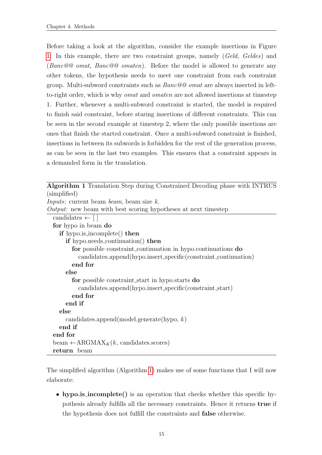Before taking a look at the algorithm, consider the example insertions in Figure [1:](#page-21-1) In this example, there are two constraint groups, namely (Geld, Geldes) and (Banc@@ omat, Banc@@ omaten). Before the model is allowed to generate any other tokens, the hypothesis needs to meet one constraint from each constraint group. Multi-subword constraints such as Banc@@ omat are always inserted in leftto-right order, which is why omat and omaten are not allowed insertions at timestep 1. Further, whenever a multi-subword constraint is started, the model is required to finish said constraint, before staring insertions of different constraints. This can be seen in the second example at timestep 2, where the only possible insertions are ones that finish the started constraint. Once a multi-subword constraint is finished, insertions in between its subwords is forbidden for the rest of the generation process, as can be seen in the last two examples. This ensures that a constraint appears in a demanded form in the translation.

<span id="page-22-0"></span>

| Algorithm 1 Translation Step during Constrained Decoding phase with INTRUS |
|----------------------------------------------------------------------------|
| (simplified)                                                               |
| <i>Inputs:</i> current beam <i>beam</i> , beam size k.                     |
| <i>Output:</i> new beam with best scoring hypotheses at next timestep      |
| candidates $\leftarrow$ []                                                 |
| for hypo in beam do                                                        |
| <b>if</b> hypo.is_incomplete() <b>then</b>                                 |
| if hypo.needs_continuation() then                                          |
| for possible constraint continuation in hypo.continuations do              |
| candidates.append(hypo.insert_specific(constraint_continuation)            |
| end for                                                                    |
| else                                                                       |
| for possible constraint_start in hypo.starts do                            |
| candidates.append(hypo.insert_specific(constraint_start)                   |
| end for                                                                    |
| end if                                                                     |
| else                                                                       |
| candidates.append(model.generate(hypo, $k$ )                               |
| end if                                                                     |
| end for                                                                    |
| beam $\leftarrow$ ARGMAX <sub>K</sub> $(k,$ candidates.scores)             |
| return beam                                                                |

The simplified algorithm (Algorithm [1\)](#page-22-0) makes use of some functions that I will now elaborate:

• hypo.is\_incomplete() is an operation that checks whether this specific hypothesis already fulfills all the necessary constraints. Hence it returns true if the hypothesis does not fulfill the constraints and false otherwise.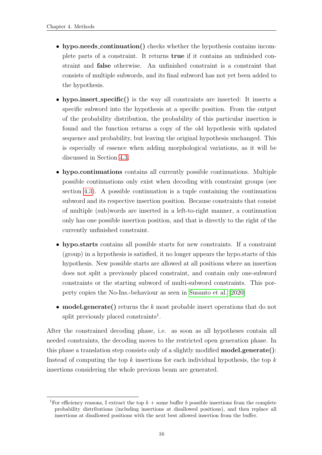- hypo.needs\_continuation() checks whether the hypothesis contains incomplete parts of a constraint. It returns true if it contains an unfinished constraint and false otherwise. An unfinished constraint is a constraint that consists of multiple subwords, and its final subword has not yet been added to the hypothesis.
- hypo.insert\_specific() is the way all constraints are inserted: It inserts a specific subword into the hypothesis at a specific position. From the output of the probability distribution, the probability of this particular insertion is found and the function returns a copy of the old hypothesis with updated sequence and probability, but leaving the original hypothesis unchanged. This is especially of essence when adding morphological variations, as it will be discussed in Section [4.3.](#page-24-0)
- hypo.continuations contains all currently possible continuations. Multiple possible continuations only exist when decoding with constraint groups (see section [4.3\)](#page-24-0). A possible continuation is a tuple containing the continuation subword and its respective insertion position. Because constraints that consist of multiple (sub)words are inserted in a left-to-right manner, a continuation only has one possible insertion position, and that is directly to the right of the currently unfinished constraint.
- hypo.starts contains all possible starts for new constraints. If a constraint (group) in a hypothesis is satisfied, it no longer appears the hypo.starts of this hypothesis. New possible starts are allowed at all positions where an insertion does not split a previously placed constraint, and contain only one-subword constraints or the starting subword of multi-subword constraints. This porperty copies the No-Ins.-behaviour as seen in [Susanto et al.](#page-33-0) [\[2020\]](#page-33-0)
- model.generate() returns the  $k$  most probable insert operations that do not split previously placed constraints<sup>1</sup>.

After the constrained decoding phase, i.e. as soon as all hypotheses contain all needed constraints, the decoding moves to the restricted open generation phase. In this phase a translation step consists only of a slightly modified model.generate(): Instead of computing the top  $k$  insertions for each individual hypothesis, the top  $k$ insertions considering the whole previous beam are generated.

<sup>&</sup>lt;sup>1</sup>For efficiency reasons, I extract the top  $k +$  some buffer b possible insertions from the complete probability distributions (including insertions at disallowed positions), and then replace all insertions at disallowed positions with the next best allowed insertion from the buffer.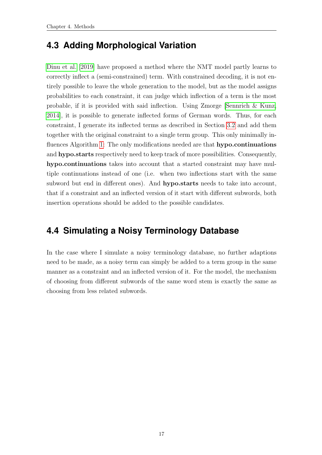### <span id="page-24-0"></span>**4.3 Adding Morphological Variation**

[Dinu et al.](#page-31-4) [\[2019\]](#page-31-4) have proposed a method where the NMT model partly learns to correctly inflect a (semi-constrained) term. With constrained decoding, it is not entirely possible to leave the whole generation to the model, but as the model assigns probabilities to each constraint, it can judge which inflection of a term is the most probable, if it is provided with said inflection. Using Zmorge [\[Sennrich & Kunz,](#page-33-3) [2014\]](#page-33-3), it is possible to generate inflected forms of German words. Thus, for each constraint, I generate its inflected terms as described in Section [3.2](#page-17-2) and add them together with the original constraint to a single term group. This only minimally in-fluences Algorithm [1:](#page-22-0) The only modifications needed are that **hypo.continuations** and hypo.starts respectively need to keep track of more possibilities. Consequently, hypo.continuations takes into account that a started constraint may have multiple continuations instead of one (i.e. when two inflections start with the same subword but end in different ones). And **hypo.starts** needs to take into account, that if a constraint and an inflected version of it start with different subwords, both insertion operations should be added to the possible candidates.

### <span id="page-24-1"></span>**4.4 Simulating a Noisy Terminology Database**

In the case where I simulate a noisy terminology database, no further adaptions need to be made, as a noisy term can simply be added to a term group in the same manner as a constraint and an inflected version of it. For the model, the mechanism of choosing from different subwords of the same word stem is exactly the same as choosing from less related subwords.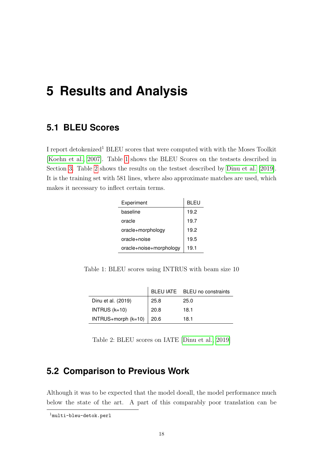## <span id="page-25-0"></span>**5 Results and Analysis**

#### <span id="page-25-1"></span>**5.1 BLEU Scores**

I report detokenized<sup>1</sup> BLEU scores that were computed with with the Moses Toolkit [\[Koehn et al., 2007\]](#page-32-3). Table [1](#page-25-3) shows the BLEU Scores on the testsets described in Section [3.](#page-17-0) Table [2](#page-25-4) shows the results on the testset described by [Dinu et al.](#page-31-4) [\[2019\]](#page-31-4). It is the training set with 581 lines, where also approximate matches are used, which makes it necessary to inflect certain terms.

| Experiment              | BLEU |  |
|-------------------------|------|--|
| baseline                | 19.2 |  |
| oracle                  | 19.7 |  |
| oracle+morphology       | 19.2 |  |
| oracle+noise            | 19.5 |  |
| oracle+noise+morphology | 19.1 |  |

<span id="page-25-3"></span>Table 1: BLEU scores using INTRUS with beam size 10

|                     |      | BLEU IATE BLEU no constraints |
|---------------------|------|-------------------------------|
| Dinu et al. (2019)  | 25.8 | 25.0                          |
| INTRUS $(k=10)$     | 20.8 | 18.1                          |
| INTRUS+morph (k=10) | 20.6 | 18.1                          |

<span id="page-25-4"></span>Table 2: BLEU scores on IATE [\[Dinu et al., 2019\]](#page-31-4)

#### <span id="page-25-2"></span>**5.2 Comparison to Previous Work**

Although it was to be expected that the model doeall, the model performance much below the state of the art. A part of this comparably poor translation can be

<sup>1</sup>multi-bleu-detok.perl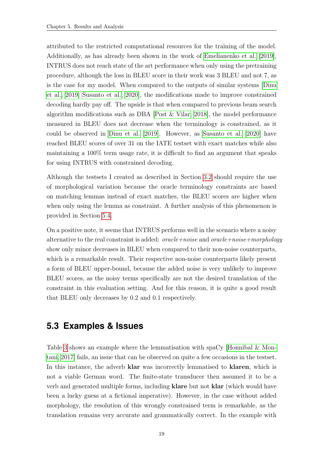attributed to the restricted computational resources for the training of the model. Additionally, as has already been shown in the work of [Emelianenko et al.](#page-31-0) [\[2019\]](#page-31-0), INTRUS does not reach state of the art performance when only using the pretraining procedure, although the loss in BLEU score in their work was 3 BLEU and not 7, as is the case for my model. When compared to the outputs of similar systems [\[Dinu](#page-31-4) [et al., 2019;](#page-31-4) [Susanto et al., 2020\]](#page-33-0), the modifications made to improve constrained decoding hardly pay off. The upside is that when compared to previous beam search algorithm modifications such as DBA [\[Post & Vilar, 2018\]](#page-32-1), the model performance measured in BLEU does not decrease when the terminology is constrained, as it could be observed in [Dinu et al.](#page-31-4) [\[2019\]](#page-31-4). However, as [Susanto et al.](#page-33-0) [\[2020\]](#page-33-0) have reached BLEU scores of over 31 on the IATE testset with exact matches while also maintaining a 100% term usage rate, it is difficult to find an argument that speaks for using INTRUS with constrained decoding.

Although the testsets I created as described in Section [3.2](#page-17-2) should require the use of morphological variation because the oracle terminology constraints are based on matching lemmas instead of exact matches, the BLEU scores are higher when when only using the lemma as constraint. A further analysis of this phenomenon is provided in Section [5.4.](#page-27-0)

On a positive note, it seems that INTRUS performs well in the scenario where a noisy alternative to the real constraint is added: *oracle+noise* and *oracle+noise+morphology* show only minor decreases in BLEU when compared to their non-noise counterparts, which is a remarkable result. Their respective non-noise counterparts likely present a form of BLEU upper-bound, because the added noise is very unlikely to improve BLEU scores, as the noisy terms specifically are not the desired translation of the constraint in this evaluation setting. And for this reason, it is quite a good result that BLEU only decreases by 0.2 and 0.1 respectively.

#### <span id="page-26-0"></span>**5.3 Examples & Issues**

Table [3](#page-27-1) shows an example where the lemmatisation with spaCy [\[Honnibal & Mon](#page-32-5)[tani, 2017\]](#page-32-5) fails, an issue that can be observed on quite a few occasions in the testset. In this instance, the adverb **klar** was incorrectly lemmatised to **klaren**, which is not a viable German word. The finite-state transducer then assumed it to be a verb and generated multiple forms, including klare but not klar (which would have been a lucky guess at a fictional imperative). However, in the case without added morphology, the resolution of this wrongly constrained term is remarkable, as the translation remains very accurate and grammatically correct. In the example with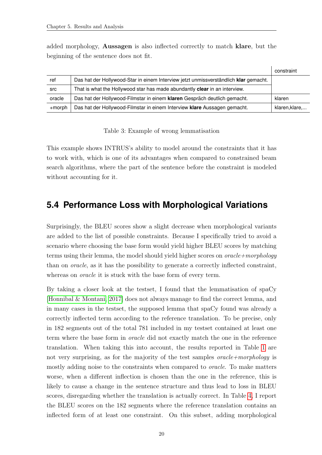added morphology, Aussagen is also inflected correctly to match klare, but the beginning of the sentence does not fit.

|            |                                                                                      | constraint     |
|------------|--------------------------------------------------------------------------------------|----------------|
| ref        | Das hat der Hollywood-Star in einem Interview jetzt unmissverständlich klar gemacht. |                |
| <b>SrC</b> | That is what the Hollywood star has made abundantly clear in an interview.           |                |
| oracle     | Das hat der Hollywood-Filmstar in einem klaren Gespräch deutlich gemacht.            |                |
| $+$ morph  | Das hat der Hollywood-Filmstar in einem Interview klare Aussagen gemacht.            | klaren, klare, |

<span id="page-27-1"></span>Table 3: Example of wrong lemmatisation

This example shows INTRUS's ability to model around the constraints that it has to work with, which is one of its advantages when compared to constrained beam search algorithms, where the part of the sentence before the constraint is modeled without accounting for it.

#### <span id="page-27-0"></span>**5.4 Performance Loss with Morphological Variations**

Surprisingly, the BLEU scores show a slight decrease when morphological variants are added to the list of possible constraints. Because I specifically tried to avoid a scenario where choosing the base form would yield higher BLEU scores by matching terms using their lemma, the model should yield higher scores on  $oracle+morphology$ than on oracle, as it has the possibility to generate a correctly inflected constraint, whereas on *oracle* it is stuck with the base form of every term.

By taking a closer look at the testset, I found that the lemmatisation of spaCy [\[Honnibal & Montani, 2017\]](#page-32-5) does not always manage to find the correct lemma, and in many cases in the testset, the supposed lemma that spaCy found was already a correctly inflected term according to the reference translation. To be precise, only in 182 segments out of the total 781 included in my testset contained at least one term where the base form in oracle did not exactly match the one in the reference translation. When taking this into account, the results reported in Table [1](#page-25-3) are not very surprising, as for the majority of the test samples *oracle+morphology* is mostly adding noise to the constraints when compared to oracle. To make matters worse, when a different inflection is chosen than the one in the reference, this is likely to cause a change in the sentence structure and thus lead to loss in BLEU scores, disregarding whether the translation is actually correct. In Table [4,](#page-28-0) I report the BLEU scores on the 182 segments where the reference translation contains an inflected form of at least one constraint. On this subset, adding morphological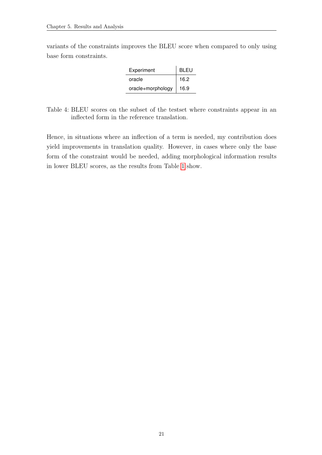variants of the constraints improves the BLEU score when compared to only using base form constraints.

| Experiment        | <b>BLEU</b> |
|-------------------|-------------|
| oracle            | 16.2        |
| oracle+morphology | 16.9        |

<span id="page-28-0"></span>Table 4: BLEU scores on the subset of the testset where constraints appear in an inflected form in the reference translation.

Hence, in situations where an inflection of a term is needed, my contribution does yield improvements in translation quality. However, in cases where only the base form of the constraint would be needed, adding morphological information results in lower BLEU scores, as the results from Table [1](#page-25-3) show.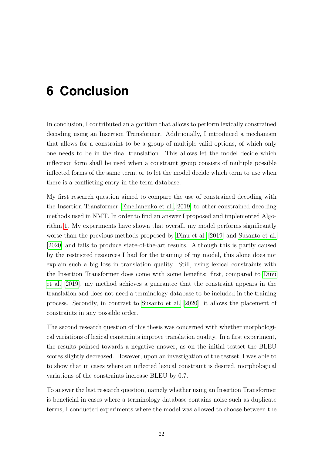## <span id="page-29-0"></span>**6 Conclusion**

In conclusion, I contributed an algorithm that allows to perform lexically constrained decoding using an Insertion Transformer. Additionally, I introduced a mechanism that allows for a constraint to be a group of multiple valid options, of which only one needs to be in the final translation. This allows let the model decide which inflection form shall be used when a constraint group consists of multiple possible inflected forms of the same term, or to let the model decide which term to use when there is a conflicting entry in the term database.

My first research question aimed to compare the use of constrained decoding with the Insertion Transformer [\[Emelianenko et al., 2019\]](#page-31-0) to other constrained decoding methods used in NMT. In order to find an answer I proposed and implemented Algorithm [1.](#page-22-0) My experiments have shown that overall, my model performs significantly worse than the previous methods proposed by [Dinu et al.](#page-31-4) [\[2019\]](#page-31-4) and [Susanto et al.](#page-33-0) [\[2020\]](#page-33-0) and fails to produce state-of-the-art results. Although this is partly caused by the restricted resources I had for the training of my model, this alone does not explain such a big loss in translation quality. Still, using lexical constraints with the Insertion Transformer does come with some benefits: first, compared to [Dinu](#page-31-4) [et al.](#page-31-4) [\[2019\]](#page-31-4), my method achieves a guarantee that the constraint appears in the translation and does not need a terminology database to be included in the training process. Secondly, in contrast to [Susanto et al.](#page-33-0) [\[2020\]](#page-33-0), it allows the placement of constraints in any possible order.

The second research question of this thesis was concerned with whether morphological variations of lexical constraints improve translation quality. In a first experiment, the results pointed towards a negative answer, as on the initial testset the BLEU scores slightly decreased. However, upon an investigation of the testset, I was able to to show that in cases where an inflected lexical constraint is desired, morphological variations of the constraints increase BLEU by 0.7.

To answer the last research question, namely whether using an Insertion Transformer is beneficial in cases where a terminology database contains noise such as duplicate terms, I conducted experiments where the model was allowed to choose between the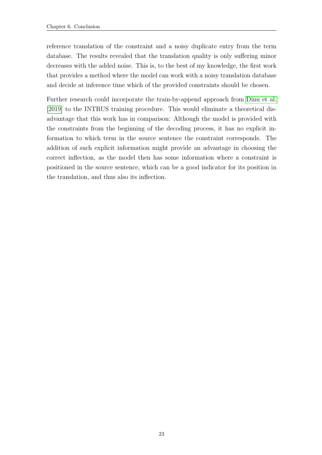reference translation of the constraint and a noisy duplicate entry from the term database. The results revealed that the translation quality is only suffering minor decreases with the added noise. This is, to the best of my knowledge, the first work that provides a method where the model can work with a noisy translation database and decide at inference time which of the provided constraints should be chosen.

Further research could incorporate the train-by-append approach from [Dinu et al.](#page-31-4) [\[2019\]](#page-31-4) to the INTRUS training procedure. This would eliminate a theoretical disadvantage that this work has in comparison: Although the model is provided with the constraints from the beginning of the decoding process, it has no explicit information to which term in the source sentence the constraint corresponds. The addition of such explicit information might provide an advantage in choosing the correct inflection, as the model then has some information where a constraint is positioned in the source sentence, which can be a good indicator for its position in the translation, and thus also its inflection.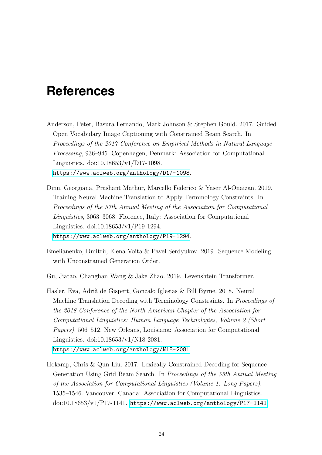### <span id="page-31-1"></span>**References**

- <span id="page-31-5"></span>Anderson, Peter, Basura Fernando, Mark Johnson & Stephen Gould. 2017. Guided Open Vocabulary Image Captioning with Constrained Beam Search. In Proceedings of the 2017 Conference on Empirical Methods in Natural Language Processing, 936–945. Copenhagen, Denmark: Association for Computational Linguistics. doi:10.18653/v1/D17-1098. <https://www.aclweb.org/anthology/D17-1098>.
- <span id="page-31-4"></span>Dinu, Georgiana, Prashant Mathur, Marcello Federico & Yaser Al-Onaizan. 2019. Training Neural Machine Translation to Apply Terminology Constraints. In Proceedings of the 57th Annual Meeting of the Association for Computational Linguistics, 3063–3068. Florence, Italy: Association for Computational Linguistics. doi:10.18653/v1/P19-1294. <https://www.aclweb.org/anthology/P19-1294>.
- <span id="page-31-0"></span>Emelianenko, Dmitrii, Elena Voita & Pavel Serdyukov. 2019. Sequence Modeling with Unconstrained Generation Order.
- <span id="page-31-6"></span>Gu, Jiatao, Changhan Wang & Jake Zhao. 2019. Levenshtein Transformer.
- <span id="page-31-2"></span>Hasler, Eva, Adrià de Gispert, Gonzalo Iglesias & Bill Byrne. 2018. Neural Machine Translation Decoding with Terminology Constraints. In Proceedings of the 2018 Conference of the North American Chapter of the Association for Computational Linguistics: Human Language Technologies, Volume 2 (Short Papers), 506–512. New Orleans, Louisiana: Association for Computational Linguistics. doi:10.18653/v1/N18-2081. <https://www.aclweb.org/anthology/N18-2081>.
- <span id="page-31-3"></span>Hokamp, Chris & Qun Liu. 2017. Lexically Constrained Decoding for Sequence Generation Using Grid Beam Search. In Proceedings of the 55th Annual Meeting of the Association for Computational Linguistics (Volume 1: Long Papers), 1535–1546. Vancouver, Canada: Association for Computational Linguistics.  $\text{doi:10.18653}/\text{v1}/\text{P17-1141}$ . <https://www.aclweb.org/anthology/P17-1141>.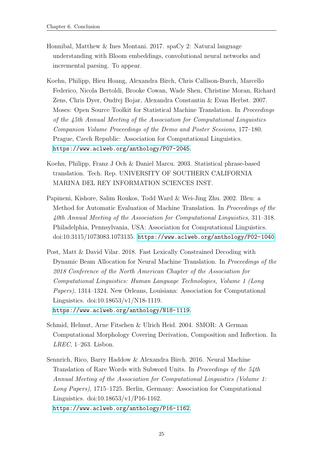- <span id="page-32-5"></span>Honnibal, Matthew & Ines Montani. 2017. spaCy 2: Natural language understanding with Bloom embeddings, convolutional neural networks and incremental parsing. To appear.
- <span id="page-32-3"></span>Koehn, Philipp, Hieu Hoang, Alexandra Birch, Chris Callison-Burch, Marcello Federico, Nicola Bertoldi, Brooke Cowan, Wade Shen, Christine Moran, Richard Zens, Chris Dyer, Ondřej Bojar, Alexandra Constantin & Evan Herbst. 2007. Moses: Open Source Toolkit for Statistical Machine Translation. In Proceedings of the 45th Annual Meeting of the Association for Computational Linguistics Companion Volume Proceedings of the Demo and Poster Sessions, 177–180. Prague, Czech Republic: Association for Computational Linguistics. <https://www.aclweb.org/anthology/P07-2045>.
- <span id="page-32-0"></span>Koehn, Philipp, Franz J Och & Daniel Marcu. 2003. Statistical phrase-based translation. Tech. Rep. UNIVERSITY OF SOUTHERN CALIFORNIA MARINA DEL REY INFORMATION SCIENCES INST.
- <span id="page-32-2"></span>Papineni, Kishore, Salim Roukos, Todd Ward & Wei-Jing Zhu. 2002. Bleu: a Method for Automatic Evaluation of Machine Translation. In Proceedings of the 40th Annual Meeting of the Association for Computational Linguistics, 311–318. Philadelphia, Pennsylvania, USA: Association for Computational Linguistics. doi:10.3115/1073083.1073135. <https://www.aclweb.org/anthology/P02-1040>.
- <span id="page-32-1"></span>Post, Matt & David Vilar. 2018. Fast Lexically Constrained Decoding with Dynamic Beam Allocation for Neural Machine Translation. In Proceedings of the 2018 Conference of the North American Chapter of the Association for Computational Linguistics: Human Language Technologies, Volume 1 (Long Papers), 1314–1324. New Orleans, Louisiana: Association for Computational Linguistics. doi:10.18653/v1/N18-1119. <https://www.aclweb.org/anthology/N18-1119>.
- <span id="page-32-6"></span>Schmid, Helmut, Arne Fitschen & Ulrich Heid. 2004. SMOR: A German Computational Morphology Covering Derivation, Composition and Inflection. In LREC, 1–263. Lisbon.
- <span id="page-32-4"></span>Sennrich, Rico, Barry Haddow & Alexandra Birch. 2016. Neural Machine Translation of Rare Words with Subword Units. In Proceedings of the 54th Annual Meeting of the Association for Computational Linguistics (Volume 1: Long Papers), 1715–1725. Berlin, Germany: Association for Computational Linguistics. doi:10.18653/v1/P16-1162. <https://www.aclweb.org/anthology/P16-1162>.